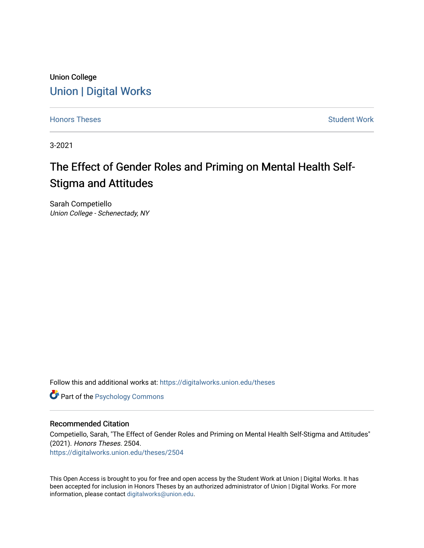# Union College [Union | Digital Works](https://digitalworks.union.edu/)

[Honors Theses](https://digitalworks.union.edu/theses) **Student Work** [Student Work](https://digitalworks.union.edu/studentwork) **Student Work** Student Work

3-2021

# The Effect of Gender Roles and Priming on Mental Health Self-Stigma and Attitudes

Sarah Competiello Union College - Schenectady, NY

Follow this and additional works at: [https://digitalworks.union.edu/theses](https://digitalworks.union.edu/theses?utm_source=digitalworks.union.edu%2Ftheses%2F2504&utm_medium=PDF&utm_campaign=PDFCoverPages) 

**Part of the Psychology Commons** 

#### Recommended Citation

Competiello, Sarah, "The Effect of Gender Roles and Priming on Mental Health Self-Stigma and Attitudes" (2021). Honors Theses. 2504.

[https://digitalworks.union.edu/theses/2504](https://digitalworks.union.edu/theses/2504?utm_source=digitalworks.union.edu%2Ftheses%2F2504&utm_medium=PDF&utm_campaign=PDFCoverPages)

This Open Access is brought to you for free and open access by the Student Work at Union | Digital Works. It has been accepted for inclusion in Honors Theses by an authorized administrator of Union | Digital Works. For more information, please contact [digitalworks@union.edu.](mailto:digitalworks@union.edu)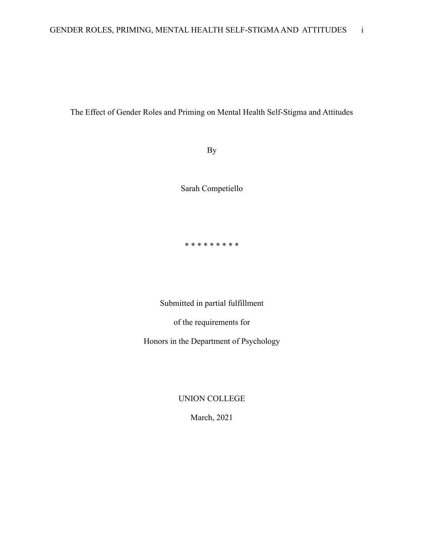# The Effect of Gender Roles and Priming on Mental Health Self-Stigma and Attitudes

By

Sarah Competiello

\* \* \* \* \* \* \* \* \*

Submitted in partial fulfillment

of the requirements for

Honors in the Department of Psychology

UNION COLLEGE

March, 2021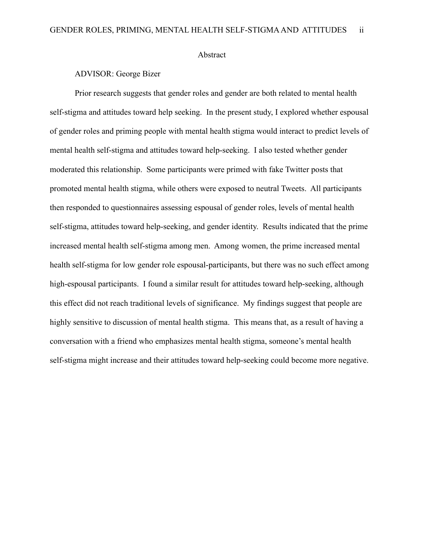#### Abstract

## ADVISOR: George Bizer

Prior research suggests that gender roles and gender are both related to mental health self-stigma and attitudes toward help seeking. In the present study, I explored whether espousal of gender roles and priming people with mental health stigma would interact to predict levels of mental health self-stigma and attitudes toward help-seeking. I also tested whether gender moderated this relationship. Some participants were primed with fake Twitter posts that promoted mental health stigma, while others were exposed to neutral Tweets. All participants then responded to questionnaires assessing espousal of gender roles, levels of mental health self-stigma, attitudes toward help-seeking, and gender identity. Results indicated that the prime increased mental health self-stigma among men. Among women, the prime increased mental health self-stigma for low gender role espousal-participants, but there was no such effect among high-espousal participants. I found a similar result for attitudes toward help-seeking, although this effect did not reach traditional levels of significance. My findings suggest that people are highly sensitive to discussion of mental health stigma. This means that, as a result of having a conversation with a friend who emphasizes mental health stigma, someone's mental health self-stigma might increase and their attitudes toward help-seeking could become more negative.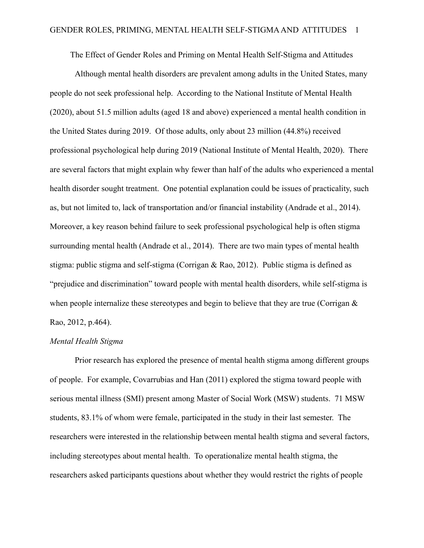The Effect of Gender Roles and Priming on Mental Health Self-Stigma and Attitudes

Although mental health disorders are prevalent among adults in the United States, many people do not seek professional help. According to the National Institute of Mental Health (2020), about 51.5 million adults (aged 18 and above) experienced a mental health condition in the United States during 2019. Of those adults, only about 23 million (44.8%) received professional psychological help during 2019 (National Institute of Mental Health, 2020). There are several factors that might explain why fewer than half of the adults who experienced a mental health disorder sought treatment. One potential explanation could be issues of practicality, such as, but not limited to, lack of transportation and/or financial instability (Andrade et al., 2014). Moreover, a key reason behind failure to seek professional psychological help is often stigma surrounding mental health (Andrade et al., 2014). There are two main types of mental health stigma: public stigma and self-stigma (Corrigan & Rao, 2012). Public stigma is defined as "prejudice and discrimination" toward people with mental health disorders, while self-stigma is when people internalize these stereotypes and begin to believe that they are true (Corrigan  $\&$ Rao, 2012, p.464).

## *Mental Health Stigma*

Prior research has explored the presence of mental health stigma among different groups of people. For example, Covarrubias and Han (2011) explored the stigma toward people with serious mental illness (SMI) present among Master of Social Work (MSW) students. 71 MSW students, 83.1% of whom were female, participated in the study in their last semester. The researchers were interested in the relationship between mental health stigma and several factors, including stereotypes about mental health. To operationalize mental health stigma, the researchers asked participants questions about whether they would restrict the rights of people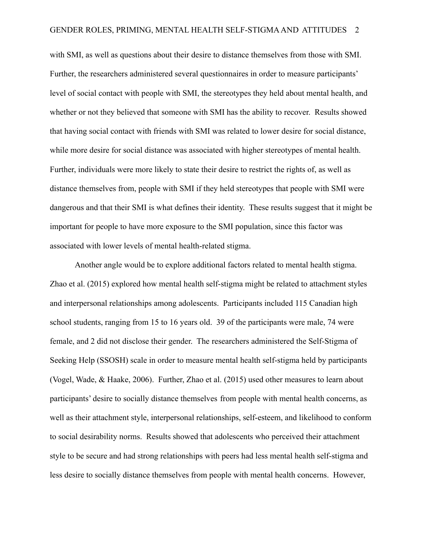with SMI, as well as questions about their desire to distance themselves from those with SMI. Further, the researchers administered several questionnaires in order to measure participants' level of social contact with people with SMI, the stereotypes they held about mental health, and whether or not they believed that someone with SMI has the ability to recover. Results showed that having social contact with friends with SMI was related to lower desire for social distance, while more desire for social distance was associated with higher stereotypes of mental health. Further, individuals were more likely to state their desire to restrict the rights of, as well as distance themselves from, people with SMI if they held stereotypes that people with SMI were dangerous and that their SMI is what defines their identity. These results suggest that it might be important for people to have more exposure to the SMI population, since this factor was associated with lower levels of mental health-related stigma.

Another angle would be to explore additional factors related to mental health stigma. Zhao et al. (2015) explored how mental health self-stigma might be related to attachment styles and interpersonal relationships among adolescents. Participants included 115 Canadian high school students, ranging from 15 to 16 years old. 39 of the participants were male, 74 were female, and 2 did not disclose their gender. The researchers administered the Self-Stigma of Seeking Help (SSOSH) scale in order to measure mental health self-stigma held by participants (Vogel, Wade, & Haake, 2006). Further, Zhao et al. (2015) used other measures to learn about participants' desire to socially distance themselves from people with mental health concerns, as well as their attachment style, interpersonal relationships, self-esteem, and likelihood to conform to social desirability norms. Results showed that adolescents who perceived their attachment style to be secure and had strong relationships with peers had less mental health self-stigma and less desire to socially distance themselves from people with mental health concerns. However,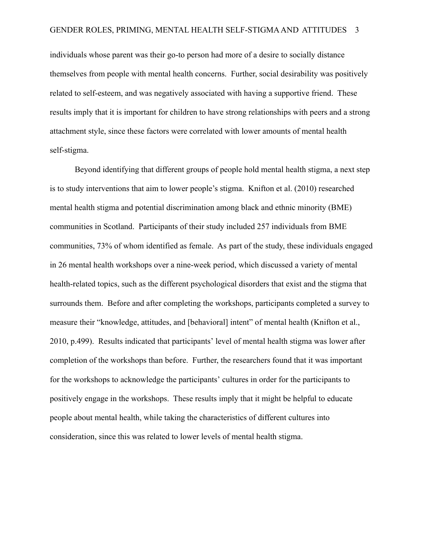individuals whose parent was their go-to person had more of a desire to socially distance themselves from people with mental health concerns. Further, social desirability was positively related to self-esteem, and was negatively associated with having a supportive friend. These results imply that it is important for children to have strong relationships with peers and a strong attachment style, since these factors were correlated with lower amounts of mental health self-stigma.

Beyond identifying that different groups of people hold mental health stigma, a next step is to study interventions that aim to lower people's stigma. Knifton et al. (2010) researched mental health stigma and potential discrimination among black and ethnic minority (BME) communities in Scotland. Participants of their study included 257 individuals from BME communities, 73% of whom identified as female. As part of the study, these individuals engaged in 26 mental health workshops over a nine-week period, which discussed a variety of mental health-related topics, such as the different psychological disorders that exist and the stigma that surrounds them. Before and after completing the workshops, participants completed a survey to measure their "knowledge, attitudes, and [behavioral] intent" of mental health (Knifton et al., 2010, p.499). Results indicated that participants' level of mental health stigma was lower after completion of the workshops than before. Further, the researchers found that it was important for the workshops to acknowledge the participants' cultures in order for the participants to positively engage in the workshops. These results imply that it might be helpful to educate people about mental health, while taking the characteristics of different cultures into consideration, since this was related to lower levels of mental health stigma.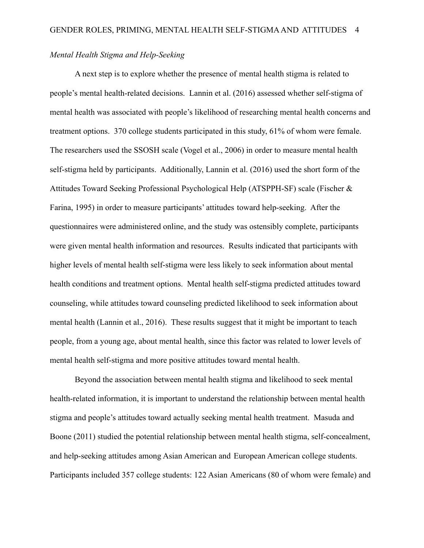## *Mental Health Stigma and Help-Seeking*

A next step is to explore whether the presence of mental health stigma is related to people's mental health-related decisions. Lannin et al. (2016) assessed whether self-stigma of mental health was associated with people's likelihood of researching mental health concerns and treatment options. 370 college students participated in this study, 61% of whom were female. The researchers used the SSOSH scale (Vogel et al., 2006) in order to measure mental health self-stigma held by participants. Additionally, Lannin et al. (2016) used the short form of the Attitudes Toward Seeking Professional Psychological Help (ATSPPH-SF) scale (Fischer & Farina, 1995) in order to measure participants' attitudes toward help-seeking. After the questionnaires were administered online, and the study was ostensibly complete, participants were given mental health information and resources. Results indicated that participants with higher levels of mental health self-stigma were less likely to seek information about mental health conditions and treatment options. Mental health self-stigma predicted attitudes toward counseling, while attitudes toward counseling predicted likelihood to seek information about mental health (Lannin et al., 2016). These results suggest that it might be important to teach people, from a young age, about mental health, since this factor was related to lower levels of mental health self-stigma and more positive attitudes toward mental health.

Beyond the association between mental health stigma and likelihood to seek mental health-related information, it is important to understand the relationship between mental health stigma and people's attitudes toward actually seeking mental health treatment. Masuda and Boone (2011) studied the potential relationship between mental health stigma, self-concealment, and help-seeking attitudes among Asian American and European American college students. Participants included 357 college students: 122 Asian Americans (80 of whom were female) and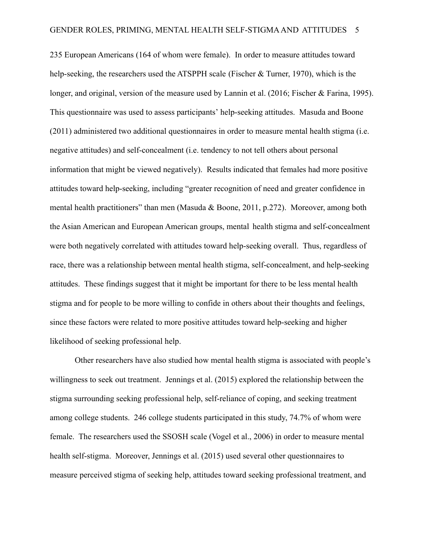235 European Americans (164 of whom were female). In order to measure attitudes toward help-seeking, the researchers used the ATSPPH scale (Fischer & Turner, 1970), which is the longer, and original, version of the measure used by Lannin et al. (2016; Fischer & Farina, 1995). This questionnaire was used to assess participants' help-seeking attitudes. Masuda and Boone (2011) administered two additional questionnaires in order to measure mental health stigma (i.e. negative attitudes) and self-concealment (i.e. tendency to not tell others about personal information that might be viewed negatively). Results indicated that females had more positive attitudes toward help-seeking, including "greater recognition of need and greater confidence in mental health practitioners" than men (Masuda & Boone, 2011, p.272). Moreover, among both the Asian American and European American groups, mental health stigma and self-concealment were both negatively correlated with attitudes toward help-seeking overall. Thus, regardless of race, there was a relationship between mental health stigma, self-concealment, and help-seeking attitudes. These findings suggest that it might be important for there to be less mental health stigma and for people to be more willing to confide in others about their thoughts and feelings, since these factors were related to more positive attitudes toward help-seeking and higher likelihood of seeking professional help.

Other researchers have also studied how mental health stigma is associated with people's willingness to seek out treatment. Jennings et al. (2015) explored the relationship between the stigma surrounding seeking professional help, self-reliance of coping, and seeking treatment among college students. 246 college students participated in this study, 74.7% of whom were female. The researchers used the SSOSH scale (Vogel et al., 2006) in order to measure mental health self-stigma. Moreover, Jennings et al. (2015) used several other questionnaires to measure perceived stigma of seeking help, attitudes toward seeking professional treatment, and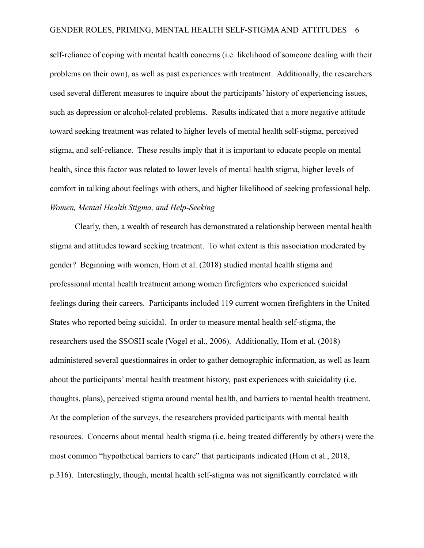self-reliance of coping with mental health concerns (i.e. likelihood of someone dealing with their problems on their own), as well as past experiences with treatment. Additionally, the researchers used several different measures to inquire about the participants' history of experiencing issues, such as depression or alcohol-related problems. Results indicated that a more negative attitude toward seeking treatment was related to higher levels of mental health self-stigma, perceived stigma, and self-reliance. These results imply that it is important to educate people on mental health, since this factor was related to lower levels of mental health stigma, higher levels of comfort in talking about feelings with others, and higher likelihood of seeking professional help. *Women, Mental Health Stigma, and Help-Seeking*

Clearly, then, a wealth of research has demonstrated a relationship between mental health stigma and attitudes toward seeking treatment. To what extent is this association moderated by gender? Beginning with women, Hom et al. (2018) studied mental health stigma and professional mental health treatment among women firefighters who experienced suicidal feelings during their careers. Participants included 119 current women firefighters in the United States who reported being suicidal. In order to measure mental health self-stigma, the researchers used the SSOSH scale (Vogel et al., 2006). Additionally, Hom et al. (2018) administered several questionnaires in order to gather demographic information, as well as learn about the participants' mental health treatment history, past experiences with suicidality (i.e. thoughts, plans), perceived stigma around mental health, and barriers to mental health treatment. At the completion of the surveys, the researchers provided participants with mental health resources. Concerns about mental health stigma (i.e. being treated differently by others) were the most common "hypothetical barriers to care" that participants indicated (Hom et al., 2018, p.316). Interestingly, though, mental health self-stigma was not significantly correlated with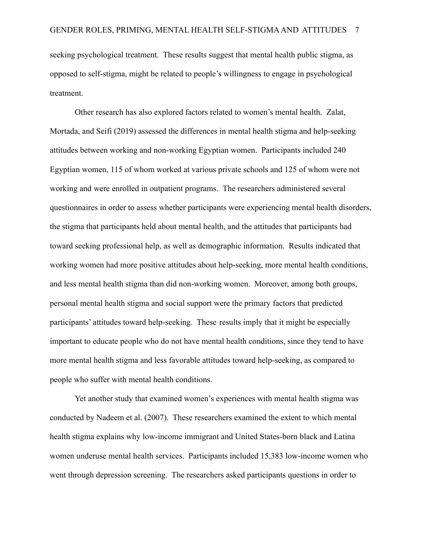seeking psychological treatment. These results suggest that mental health public stigma, as opposed to self-stigma, might be related to people's willingness to engage in psychological treatment.

Other research has also explored factors related to women's mental health. Zalat, Mortada, and Seifi (2019) assessed the differences in mental health stigma and help-seeking attitudes between working and non-working Egyptian women. Participants included 240 Egyptian women, 115 of whom worked at various private schools and 125 of whom were not working and were enrolled in outpatient programs. The researchers administered several questionnaires in order to assess whether participants were experiencing mental health disorders, the stigma that participants held about mental health, and the attitudes that participants had toward seeking professional help, as well as demographic information. Results indicated that working women had more positive attitudes about help-seeking, more mental health conditions, and less mental health stigma than did non-working women. Moreover, among both groups, personal mental health stigma and social support were the primary factors that predicted participants' attitudes toward help-seeking. These results imply that it might be especially important to educate people who do not have mental health conditions, since they tend to have more mental health stigma and less favorable attitudes toward help-seeking, as compared to people who suffer with mental health conditions.

Yet another study that examined women's experiences with mental health stigma was conducted by Nadeem et al. (2007). These researchers examined the extent to which mental health stigma explains why low-income immigrant and United States-born black and Latina women underuse mental health services. Participants included 15,383 low-income women who went through depression screening. The researchers asked participants questions in order to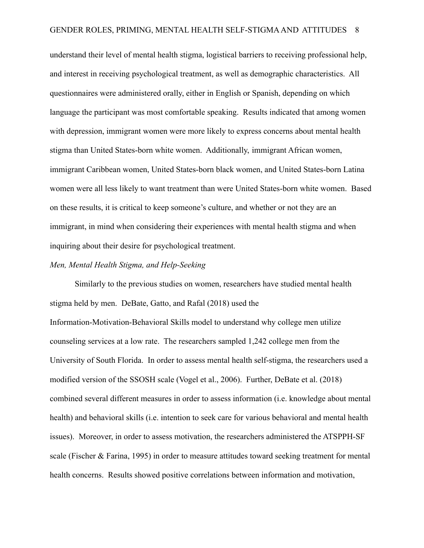understand their level of mental health stigma, logistical barriers to receiving professional help, and interest in receiving psychological treatment, as well as demographic characteristics. All questionnaires were administered orally, either in English or Spanish, depending on which language the participant was most comfortable speaking. Results indicated that among women with depression, immigrant women were more likely to express concerns about mental health stigma than United States-born white women. Additionally, immigrant African women, immigrant Caribbean women, United States-born black women, and United States-born Latina women were all less likely to want treatment than were United States-born white women. Based on these results, it is critical to keep someone's culture, and whether or not they are an immigrant, in mind when considering their experiences with mental health stigma and when inquiring about their desire for psychological treatment.

#### *Men, Mental Health Stigma, and Help-Seeking*

Similarly to the previous studies on women, researchers have studied mental health stigma held by men. DeBate, Gatto, and Rafal (2018) used the Information-Motivation-Behavioral Skills model to understand why college men utilize counseling services at a low rate. The researchers sampled 1,242 college men from the University of South Florida. In order to assess mental health self-stigma, the researchers used a modified version of the SSOSH scale (Vogel et al., 2006). Further, DeBate et al. (2018) combined several different measures in order to assess information (i.e. knowledge about mental health) and behavioral skills (i.e. intention to seek care for various behavioral and mental health issues). Moreover, in order to assess motivation, the researchers administered the ATSPPH-SF scale (Fischer & Farina, 1995) in order to measure attitudes toward seeking treatment for mental health concerns. Results showed positive correlations between information and motivation,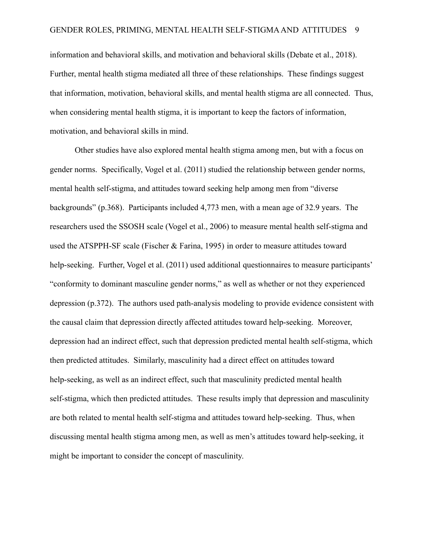information and behavioral skills, and motivation and behavioral skills (Debate et al., 2018). Further, mental health stigma mediated all three of these relationships. These findings suggest that information, motivation, behavioral skills, and mental health stigma are all connected. Thus, when considering mental health stigma, it is important to keep the factors of information, motivation, and behavioral skills in mind.

Other studies have also explored mental health stigma among men, but with a focus on gender norms. Specifically, Vogel et al. (2011) studied the relationship between gender norms, mental health self-stigma, and attitudes toward seeking help among men from "diverse backgrounds" (p.368). Participants included 4,773 men, with a mean age of 32.9 years. The researchers used the SSOSH scale (Vogel et al., 2006) to measure mental health self-stigma and used the ATSPPH-SF scale (Fischer & Farina, 1995) in order to measure attitudes toward help-seeking. Further, Vogel et al. (2011) used additional questionnaires to measure participants' "conformity to dominant masculine gender norms," as well as whether or not they experienced depression (p.372). The authors used path-analysis modeling to provide evidence consistent with the causal claim that depression directly affected attitudes toward help-seeking. Moreover, depression had an indirect effect, such that depression predicted mental health self-stigma, which then predicted attitudes. Similarly, masculinity had a direct effect on attitudes toward help-seeking, as well as an indirect effect, such that masculinity predicted mental health self-stigma, which then predicted attitudes. These results imply that depression and masculinity are both related to mental health self-stigma and attitudes toward help-seeking. Thus, when discussing mental health stigma among men, as well as men's attitudes toward help-seeking, it might be important to consider the concept of masculinity.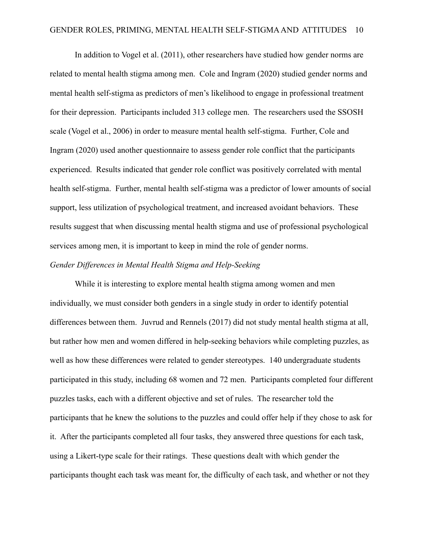In addition to Vogel et al. (2011), other researchers have studied how gender norms are related to mental health stigma among men. Cole and Ingram (2020) studied gender norms and mental health self-stigma as predictors of men's likelihood to engage in professional treatment for their depression. Participants included 313 college men. The researchers used the SSOSH scale (Vogel et al., 2006) in order to measure mental health self-stigma. Further, Cole and Ingram (2020) used another questionnaire to assess gender role conflict that the participants experienced. Results indicated that gender role conflict was positively correlated with mental health self-stigma. Further, mental health self-stigma was a predictor of lower amounts of social support, less utilization of psychological treatment, and increased avoidant behaviors. These results suggest that when discussing mental health stigma and use of professional psychological services among men, it is important to keep in mind the role of gender norms.

## *Gender Differences in Mental Health Stigma and Help-Seeking*

While it is interesting to explore mental health stigma among women and men individually, we must consider both genders in a single study in order to identify potential differences between them. Juvrud and Rennels (2017) did not study mental health stigma at all, but rather how men and women differed in help-seeking behaviors while completing puzzles, as well as how these differences were related to gender stereotypes. 140 undergraduate students participated in this study, including 68 women and 72 men. Participants completed four different puzzles tasks, each with a different objective and set of rules. The researcher told the participants that he knew the solutions to the puzzles and could offer help if they chose to ask for it. After the participants completed all four tasks, they answered three questions for each task, using a Likert-type scale for their ratings. These questions dealt with which gender the participants thought each task was meant for, the difficulty of each task, and whether or not they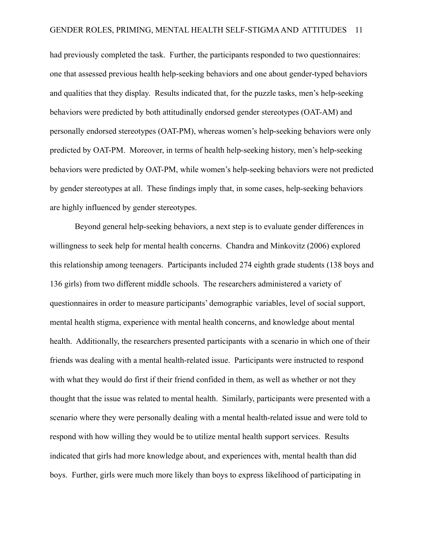had previously completed the task. Further, the participants responded to two questionnaires: one that assessed previous health help-seeking behaviors and one about gender-typed behaviors and qualities that they display. Results indicated that, for the puzzle tasks, men's help-seeking behaviors were predicted by both attitudinally endorsed gender stereotypes (OAT-AM) and personally endorsed stereotypes (OAT-PM), whereas women's help-seeking behaviors were only predicted by OAT-PM. Moreover, in terms of health help-seeking history, men's help-seeking behaviors were predicted by OAT-PM, while women's help-seeking behaviors were not predicted by gender stereotypes at all. These findings imply that, in some cases, help-seeking behaviors are highly influenced by gender stereotypes.

Beyond general help-seeking behaviors, a next step is to evaluate gender differences in willingness to seek help for mental health concerns. Chandra and Minkovitz (2006) explored this relationship among teenagers. Participants included 274 eighth grade students (138 boys and 136 girls) from two different middle schools. The researchers administered a variety of questionnaires in order to measure participants' demographic variables, level of social support, mental health stigma, experience with mental health concerns, and knowledge about mental health. Additionally, the researchers presented participants with a scenario in which one of their friends was dealing with a mental health-related issue. Participants were instructed to respond with what they would do first if their friend confided in them, as well as whether or not they thought that the issue was related to mental health. Similarly, participants were presented with a scenario where they were personally dealing with a mental health-related issue and were told to respond with how willing they would be to utilize mental health support services. Results indicated that girls had more knowledge about, and experiences with, mental health than did boys. Further, girls were much more likely than boys to express likelihood of participating in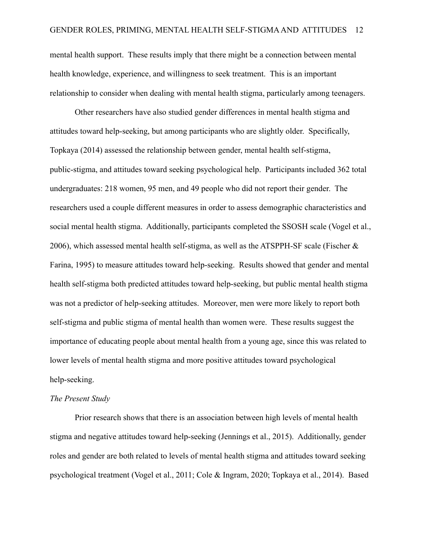mental health support. These results imply that there might be a connection between mental health knowledge, experience, and willingness to seek treatment. This is an important relationship to consider when dealing with mental health stigma, particularly among teenagers.

Other researchers have also studied gender differences in mental health stigma and attitudes toward help-seeking, but among participants who are slightly older. Specifically, Topkaya (2014) assessed the relationship between gender, mental health self-stigma, public-stigma, and attitudes toward seeking psychological help. Participants included 362 total undergraduates: 218 women, 95 men, and 49 people who did not report their gender. The researchers used a couple different measures in order to assess demographic characteristics and social mental health stigma. Additionally, participants completed the SSOSH scale (Vogel et al., 2006), which assessed mental health self-stigma, as well as the ATSPPH-SF scale (Fischer  $\&$ Farina, 1995) to measure attitudes toward help-seeking. Results showed that gender and mental health self-stigma both predicted attitudes toward help-seeking, but public mental health stigma was not a predictor of help-seeking attitudes. Moreover, men were more likely to report both self-stigma and public stigma of mental health than women were. These results suggest the importance of educating people about mental health from a young age, since this was related to lower levels of mental health stigma and more positive attitudes toward psychological help-seeking.

#### *The Present Study*

Prior research shows that there is an association between high levels of mental health stigma and negative attitudes toward help-seeking (Jennings et al., 2015). Additionally, gender roles and gender are both related to levels of mental health stigma and attitudes toward seeking psychological treatment (Vogel et al., 2011; Cole & Ingram, 2020; Topkaya et al., 2014). Based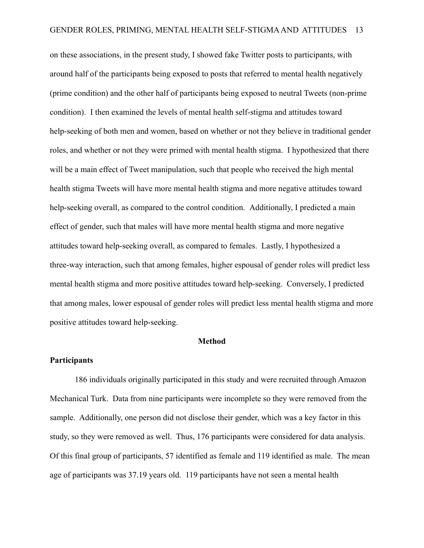on these associations, in the present study, I showed fake Twitter posts to participants, with around half of the participants being exposed to posts that referred to mental health negatively (prime condition) and the other half of participants being exposed to neutral Tweets (non-prime condition). I then examined the levels of mental health self-stigma and attitudes toward help-seeking of both men and women, based on whether or not they believe in traditional gender roles, and whether or not they were primed with mental health stigma. I hypothesized that there will be a main effect of Tweet manipulation, such that people who received the high mental health stigma Tweets will have more mental health stigma and more negative attitudes toward help-seeking overall, as compared to the control condition. Additionally, I predicted a main effect of gender, such that males will have more mental health stigma and more negative attitudes toward help-seeking overall, as compared to females. Lastly, I hypothesized a three-way interaction, such that among females, higher espousal of gender roles will predict less mental health stigma and more positive attitudes toward help-seeking. Conversely, I predicted that among males, lower espousal of gender roles will predict less mental health stigma and more positive attitudes toward help-seeking.

#### **Method**

#### **Participants**

186 individuals originally participated in this study and were recruited through Amazon Mechanical Turk. Data from nine participants were incomplete so they were removed from the sample. Additionally, one person did not disclose their gender, which was a key factor in this study, so they were removed as well. Thus, 176 participants were considered for data analysis. Of this final group of participants, 57 identified as female and 119 identified as male. The mean age of participants was 37.19 years old. 119 participants have not seen a mental health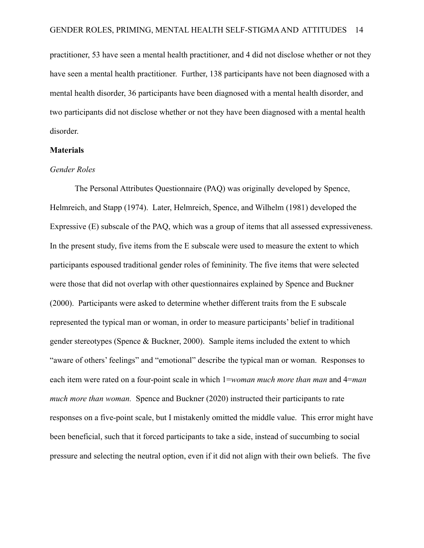practitioner, 53 have seen a mental health practitioner, and 4 did not disclose whether or not they have seen a mental health practitioner. Further, 138 participants have not been diagnosed with a mental health disorder, 36 participants have been diagnosed with a mental health disorder, and two participants did not disclose whether or not they have been diagnosed with a mental health disorder.

#### **Materials**

#### *Gender Roles*

The Personal Attributes Questionnaire (PAQ) was originally developed by Spence, Helmreich, and Stapp (1974). Later, Helmreich, Spence, and Wilhelm (1981) developed the Expressive (E) subscale of the PAQ, which was a group of items that all assessed expressiveness. In the present study, five items from the E subscale were used to measure the extent to which participants espoused traditional gender roles of femininity. The five items that were selected were those that did not overlap with other questionnaires explained by Spence and Buckner (2000). Participants were asked to determine whether different traits from the E subscale represented the typical man or woman, in order to measure participants' belief in traditional gender stereotypes (Spence & Buckner, 2000). Sample items included the extent to which "aware of others' feelings" and "emotional" describe the typical man or woman. Responses to each item were rated on a four-point scale in which 1=*woman much more than man* and 4=*man much more than woman.* Spence and Buckner (2020) instructed their participants to rate responses on a five-point scale, but I mistakenly omitted the middle value. This error might have been beneficial, such that it forced participants to take a side, instead of succumbing to social pressure and selecting the neutral option, even if it did not align with their own beliefs. The five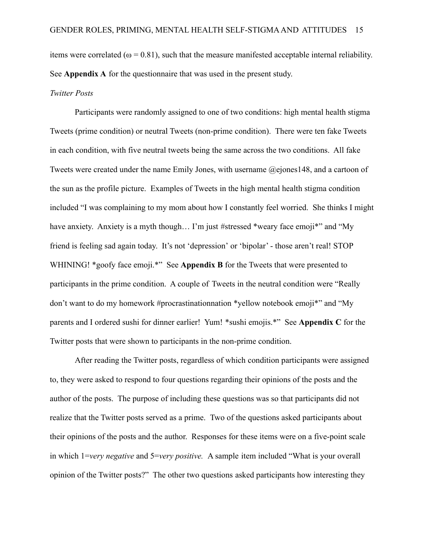items were correlated ( $\omega = 0.81$ ), such that the measure manifested acceptable internal reliability. See **Appendix A** for the questionnaire that was used in the present study.

#### *Twitter Posts*

Participants were randomly assigned to one of two conditions: high mental health stigma Tweets (prime condition) or neutral Tweets (non-prime condition). There were ten fake Tweets in each condition, with five neutral tweets being the same across the two conditions. All fake Tweets were created under the name Emily Jones, with username @ejones148, and a cartoon of the sun as the profile picture. Examples of Tweets in the high mental health stigma condition included "I was complaining to my mom about how I constantly feel worried. She thinks I might have anxiety. Anxiety is a myth though... I'm just #stressed \*weary face emoji\*" and "My friend is feeling sad again today. It's not 'depression' or 'bipolar' - those aren't real! STOP WHINING! \*goofy face emoji.\*" See **Appendix B** for the Tweets that were presented to participants in the prime condition. A couple of Tweets in the neutral condition were "Really don't want to do my homework #procrastinationnation \*yellow notebook emoji\*" and "My parents and I ordered sushi for dinner earlier! Yum! \*sushi emojis.\*" See **Appendix C** for the Twitter posts that were shown to participants in the non-prime condition.

After reading the Twitter posts, regardless of which condition participants were assigned to, they were asked to respond to four questions regarding their opinions of the posts and the author of the posts. The purpose of including these questions was so that participants did not realize that the Twitter posts served as a prime. Two of the questions asked participants about their opinions of the posts and the author. Responses for these items were on a five-point scale in which 1=*very negative* and 5=*very positive.* A sample item included "What is your overall opinion of the Twitter posts?" The other two questions asked participants how interesting they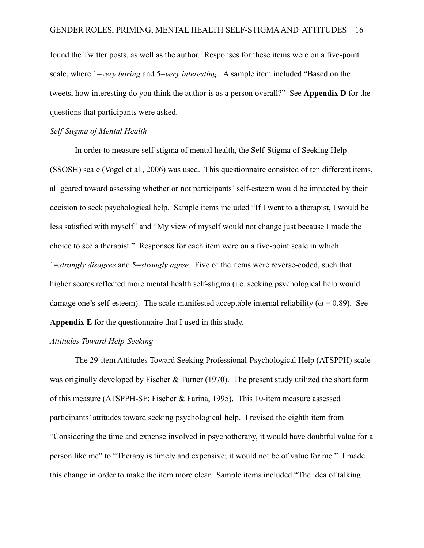found the Twitter posts, as well as the author. Responses for these items were on a five-point scale, where 1=*very boring* and 5=*very interesting.* A sample item included "Based on the tweets, how interesting do you think the author is as a person overall?" See **Appendix D** for the questions that participants were asked.

#### *Self-Stigma of Mental Health*

In order to measure self-stigma of mental health, the Self-Stigma of Seeking Help (SSOSH) scale (Vogel et al., 2006) was used. This questionnaire consisted of ten different items, all geared toward assessing whether or not participants' self-esteem would be impacted by their decision to seek psychological help. Sample items included "If I went to a therapist, I would be less satisfied with myself" and "My view of myself would not change just because I made the choice to see a therapist." Responses for each item were on a five-point scale in which 1=*strongly disagree* and 5=*strongly agree.* Five of the items were reverse-coded, such that higher scores reflected more mental health self-stigma (i.e. seeking psychological help would damage one's self-esteem). The scale manifested acceptable internal reliability ( $\omega = 0.89$ ). See **Appendix E** for the questionnaire that I used in this study.

## *Attitudes Toward Help-Seeking*

The 29-item Attitudes Toward Seeking Professional Psychological Help (ATSPPH) scale was originally developed by Fischer & Turner (1970). The present study utilized the short form of this measure (ATSPPH-SF; Fischer & Farina, 1995). This 10-item measure assessed participants' attitudes toward seeking psychological help. I revised the eighth item from "Considering the time and expense involved in psychotherapy, it would have doubtful value for a person like me" to "Therapy is timely and expensive; it would not be of value for me." I made this change in order to make the item more clear. Sample items included "The idea of talking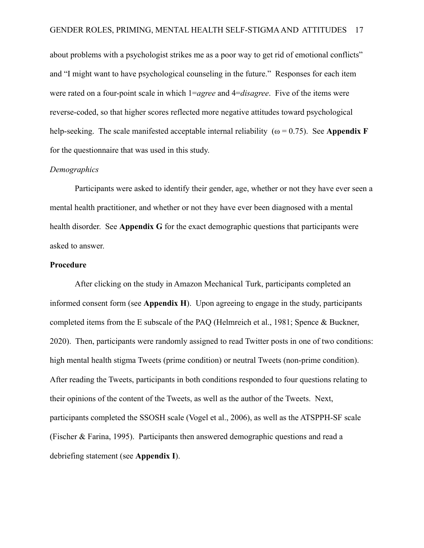about problems with a psychologist strikes me as a poor way to get rid of emotional conflicts" and "I might want to have psychological counseling in the future." Responses for each item were rated on a four-point scale in which 1=*agree* and 4=*disagree*. Five of the items were reverse-coded, so that higher scores reflected more negative attitudes toward psychological help-seeking. The scale manifested acceptable internal reliability ( $\omega = 0.75$ ). See **Appendix F** for the questionnaire that was used in this study.

## *Demographics*

Participants were asked to identify their gender, age, whether or not they have ever seen a mental health practitioner, and whether or not they have ever been diagnosed with a mental health disorder. See **Appendix G** for the exact demographic questions that participants were asked to answer.

## **Procedure**

After clicking on the study in Amazon Mechanical Turk, participants completed an informed consent form (see **Appendix H**). Upon agreeing to engage in the study, participants completed items from the E subscale of the PAQ (Helmreich et al., 1981; Spence & Buckner, 2020). Then, participants were randomly assigned to read Twitter posts in one of two conditions: high mental health stigma Tweets (prime condition) or neutral Tweets (non-prime condition). After reading the Tweets, participants in both conditions responded to four questions relating to their opinions of the content of the Tweets, as well as the author of the Tweets. Next, participants completed the SSOSH scale (Vogel et al., 2006), as well as the ATSPPH-SF scale (Fischer & Farina, 1995). Participants then answered demographic questions and read a debriefing statement (see **Appendix I**).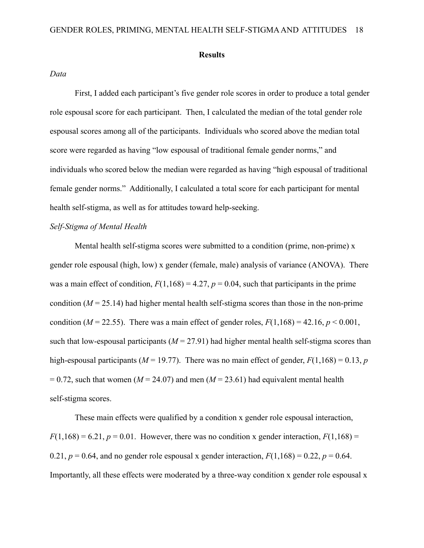#### **Results**

#### *Data*

First, I added each participant's five gender role scores in order to produce a total gender role espousal score for each participant. Then, I calculated the median of the total gender role espousal scores among all of the participants. Individuals who scored above the median total score were regarded as having "low espousal of traditional female gender norms," and individuals who scored below the median were regarded as having "high espousal of traditional female gender norms." Additionally, I calculated a total score for each participant for mental health self-stigma, as well as for attitudes toward help-seeking.

## *Self-Stigma of Mental Health*

Mental health self-stigma scores were submitted to a condition (prime, non-prime) x gender role espousal (high, low) x gender (female, male) analysis of variance (ANOVA). There was a main effect of condition,  $F(1,168) = 4.27$ ,  $p = 0.04$ , such that participants in the prime condition  $(M = 25.14)$  had higher mental health self-stigma scores than those in the non-prime condition ( $M = 22.55$ ). There was a main effect of gender roles,  $F(1,168) = 42.16$ ,  $p < 0.001$ , such that low-espousal participants  $(M = 27.91)$  had higher mental health self-stigma scores than high-espousal participants ( $M = 19.77$ ). There was no main effect of gender,  $F(1,168) = 0.13$ , *p*  $= 0.72$ , such that women ( $M = 24.07$ ) and men ( $M = 23.61$ ) had equivalent mental health self-stigma scores.

These main effects were qualified by a condition x gender role espousal interaction,  $F(1,168) = 6.21$ ,  $p = 0.01$ . However, there was no condition x gender interaction,  $F(1,168) =$ 0.21,  $p = 0.64$ , and no gender role espousal x gender interaction,  $F(1,168) = 0.22$ ,  $p = 0.64$ . Importantly, all these effects were moderated by a three-way condition x gender role espousal x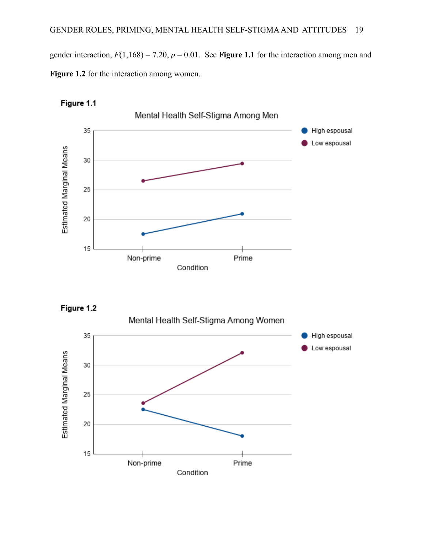gender interaction,  $F(1,168) = 7.20$ ,  $p = 0.01$ . See **Figure 1.1** for the interaction among men and **Figure 1.2** for the interaction among women.







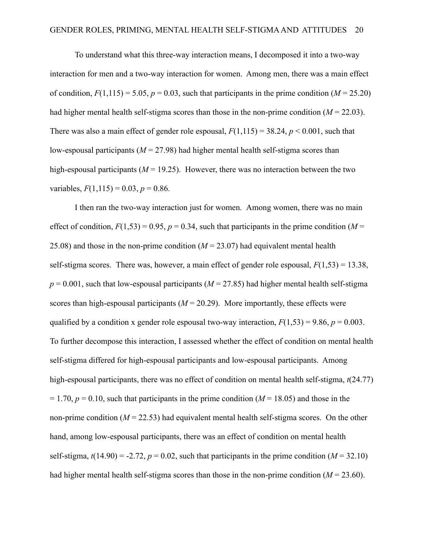To understand what this three-way interaction means, I decomposed it into a two-way interaction for men and a two-way interaction for women. Among men, there was a main effect of condition,  $F(1,115) = 5.05$ ,  $p = 0.03$ , such that participants in the prime condition ( $M = 25.20$ ) had higher mental health self-stigma scores than those in the non-prime condition  $(M = 22.03)$ . There was also a main effect of gender role espousal,  $F(1,115) = 38.24$ ,  $p < 0.001$ , such that low-espousal participants ( $M = 27.98$ ) had higher mental health self-stigma scores than high-espousal participants  $(M = 19.25)$ . However, there was no interaction between the two variables,  $F(1,115) = 0.03$ ,  $p = 0.86$ .

I then ran the two-way interaction just for women. Among women, there was no main effect of condition,  $F(1,53) = 0.95$ ,  $p = 0.34$ , such that participants in the prime condition (*M* = 25.08) and those in the non-prime condition  $(M = 23.07)$  had equivalent mental health self-stigma scores. There was, however, a main effect of gender role espousal,  $F(1,53) = 13.38$ ,  $p = 0.001$ , such that low-espousal participants ( $M = 27.85$ ) had higher mental health self-stigma scores than high-espousal participants  $(M = 20.29)$ . More importantly, these effects were qualified by a condition x gender role espousal two-way interaction,  $F(1,53) = 9.86$ ,  $p = 0.003$ . To further decompose this interaction, I assessed whether the effect of condition on mental health self-stigma differed for high-espousal participants and low-espousal participants. Among high-espousal participants, there was no effect of condition on mental health self-stigma, *t*(24.77)  $= 1.70$ ,  $p = 0.10$ , such that participants in the prime condition ( $M = 18.05$ ) and those in the non-prime condition  $(M = 22.53)$  had equivalent mental health self-stigma scores. On the other hand, among low-espousal participants, there was an effect of condition on mental health self-stigma,  $t(14.90) = -2.72$ ,  $p = 0.02$ , such that participants in the prime condition ( $M = 32.10$ ) had higher mental health self-stigma scores than those in the non-prime condition  $(M = 23.60)$ .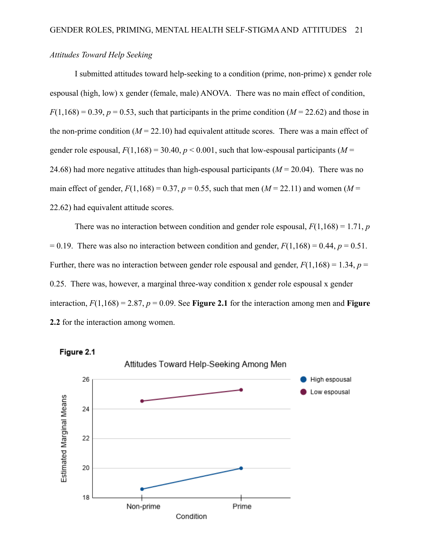## *Attitudes Toward Help Seeking*

I submitted attitudes toward help-seeking to a condition (prime, non-prime) x gender role espousal (high, low) x gender (female, male) ANOVA. There was no main effect of condition,  $F(1,168) = 0.39$ ,  $p = 0.53$ , such that participants in the prime condition ( $M = 22.62$ ) and those in the non-prime condition  $(M = 22.10)$  had equivalent attitude scores. There was a main effect of gender role espousal,  $F(1,168) = 30.40$ ,  $p < 0.001$ , such that low-espousal participants ( $M =$ 24.68) had more negative attitudes than high-espousal participants  $(M = 20.04)$ . There was no main effect of gender,  $F(1,168) = 0.37$ ,  $p = 0.55$ , such that men ( $M = 22.11$ ) and women ( $M = 22.11$ ) 22.62) had equivalent attitude scores.

There was no interaction between condition and gender role espousal,  $F(1,168) = 1.71$ , *p*  $= 0.19$ . There was also no interaction between condition and gender,  $F(1,168) = 0.44$ ,  $p = 0.51$ . Further, there was no interaction between gender role espousal and gender,  $F(1,168) = 1.34$ ,  $p =$ 0.25. There was, however, a marginal three-way condition x gender role espousal x gender interaction,  $F(1,168) = 2.87$ ,  $p = 0.09$ . See **Figure 2.1** for the interaction among men and **Figure 2.2** for the interaction among women.



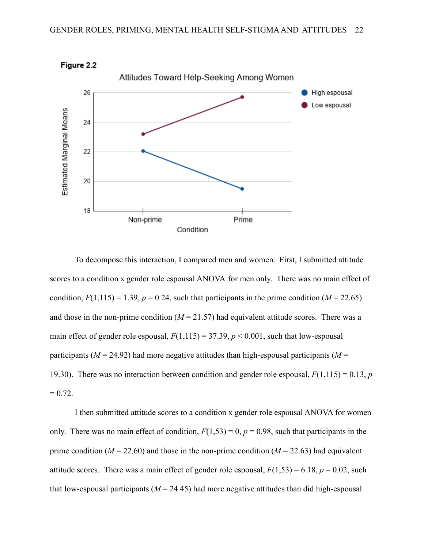

Figure 2.2

To decompose this interaction, I compared men and women. First, I submitted attitude scores to a condition x gender role espousal ANOVA for men only. There was no main effect of condition,  $F(1,115) = 1.39$ ,  $p = 0.24$ , such that participants in the prime condition ( $M = 22.65$ ) and those in the non-prime condition  $(M = 21.57)$  had equivalent attitude scores. There was a main effect of gender role espousal,  $F(1,115) = 37.39$ ,  $p < 0.001$ , such that low-espousal participants ( $M = 24.92$ ) had more negative attitudes than high-espousal participants ( $M =$ 19.30). There was no interaction between condition and gender role espousal, *F*(1,115) = 0.13, *p*  $= 0.72.$ 

I then submitted attitude scores to a condition x gender role espousal ANOVA for women only. There was no main effect of condition,  $F(1,53) = 0$ ,  $p = 0.98$ , such that participants in the prime condition ( $M = 22.60$ ) and those in the non-prime condition ( $M = 22.63$ ) had equivalent attitude scores. There was a main effect of gender role espousal,  $F(1,53) = 6.18$ ,  $p = 0.02$ , such that low-espousal participants  $(M = 24.45)$  had more negative attitudes than did high-espousal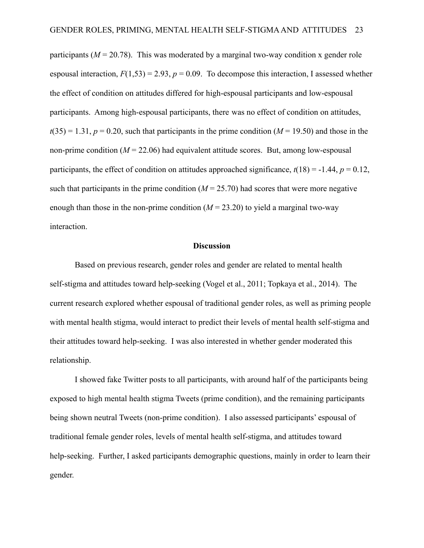participants ( $M = 20.78$ ). This was moderated by a marginal two-way condition x gender role espousal interaction,  $F(1,53) = 2.93$ ,  $p = 0.09$ . To decompose this interaction, I assessed whether the effect of condition on attitudes differed for high-espousal participants and low-espousal participants. Among high-espousal participants, there was no effect of condition on attitudes,  $t(35) = 1.31$ ,  $p = 0.20$ , such that participants in the prime condition ( $M = 19.50$ ) and those in the non-prime condition  $(M = 22.06)$  had equivalent attitude scores. But, among low-espousal participants, the effect of condition on attitudes approached significance,  $t(18) = -1.44$ ,  $p = 0.12$ , such that participants in the prime condition  $(M = 25.70)$  had scores that were more negative enough than those in the non-prime condition  $(M = 23.20)$  to yield a marginal two-way interaction.

#### **Discussion**

Based on previous research, gender roles and gender are related to mental health self-stigma and attitudes toward help-seeking (Vogel et al., 2011; Topkaya et al., 2014). The current research explored whether espousal of traditional gender roles, as well as priming people with mental health stigma, would interact to predict their levels of mental health self-stigma and their attitudes toward help-seeking. I was also interested in whether gender moderated this relationship.

I showed fake Twitter posts to all participants, with around half of the participants being exposed to high mental health stigma Tweets (prime condition), and the remaining participants being shown neutral Tweets (non-prime condition). I also assessed participants' espousal of traditional female gender roles, levels of mental health self-stigma, and attitudes toward help-seeking. Further, I asked participants demographic questions, mainly in order to learn their gender.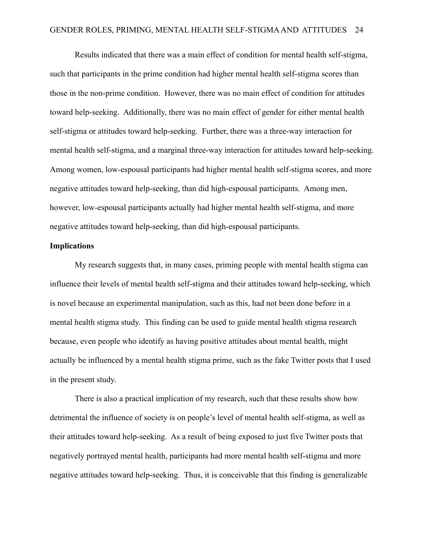Results indicated that there was a main effect of condition for mental health self-stigma, such that participants in the prime condition had higher mental health self-stigma scores than those in the non-prime condition. However, there was no main effect of condition for attitudes toward help-seeking. Additionally, there was no main effect of gender for either mental health self-stigma or attitudes toward help-seeking. Further, there was a three-way interaction for mental health self-stigma, and a marginal three-way interaction for attitudes toward help-seeking. Among women, low-espousal participants had higher mental health self-stigma scores, and more negative attitudes toward help-seeking, than did high-espousal participants. Among men, however, low-espousal participants actually had higher mental health self-stigma, and more negative attitudes toward help-seeking, than did high-espousal participants.

#### **Implications**

My research suggests that, in many cases, priming people with mental health stigma can influence their levels of mental health self-stigma and their attitudes toward help-seeking, which is novel because an experimental manipulation, such as this, had not been done before in a mental health stigma study. This finding can be used to guide mental health stigma research because, even people who identify as having positive attitudes about mental health, might actually be influenced by a mental health stigma prime, such as the fake Twitter posts that I used in the present study.

There is also a practical implication of my research, such that these results show how detrimental the influence of society is on people's level of mental health self-stigma, as well as their attitudes toward help-seeking. As a result of being exposed to just five Twitter posts that negatively portrayed mental health, participants had more mental health self-stigma and more negative attitudes toward help-seeking. Thus, it is conceivable that this finding is generalizable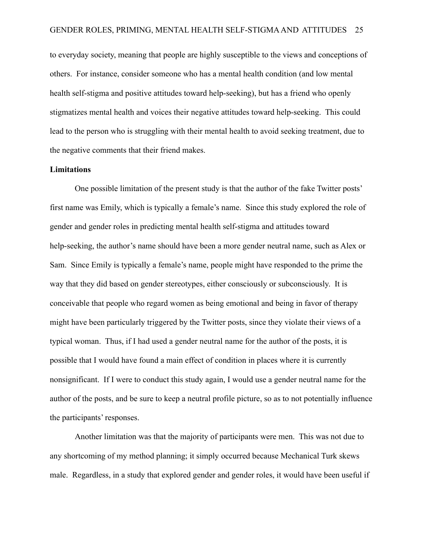to everyday society, meaning that people are highly susceptible to the views and conceptions of others. For instance, consider someone who has a mental health condition (and low mental health self-stigma and positive attitudes toward help-seeking), but has a friend who openly stigmatizes mental health and voices their negative attitudes toward help-seeking. This could lead to the person who is struggling with their mental health to avoid seeking treatment, due to the negative comments that their friend makes.

## **Limitations**

One possible limitation of the present study is that the author of the fake Twitter posts' first name was Emily, which is typically a female's name. Since this study explored the role of gender and gender roles in predicting mental health self-stigma and attitudes toward help-seeking, the author's name should have been a more gender neutral name, such as Alex or Sam. Since Emily is typically a female's name, people might have responded to the prime the way that they did based on gender stereotypes, either consciously or subconsciously. It is conceivable that people who regard women as being emotional and being in favor of therapy might have been particularly triggered by the Twitter posts, since they violate their views of a typical woman. Thus, if I had used a gender neutral name for the author of the posts, it is possible that I would have found a main effect of condition in places where it is currently nonsignificant. If I were to conduct this study again, I would use a gender neutral name for the author of the posts, and be sure to keep a neutral profile picture, so as to not potentially influence the participants' responses.

Another limitation was that the majority of participants were men. This was not due to any shortcoming of my method planning; it simply occurred because Mechanical Turk skews male. Regardless, in a study that explored gender and gender roles, it would have been useful if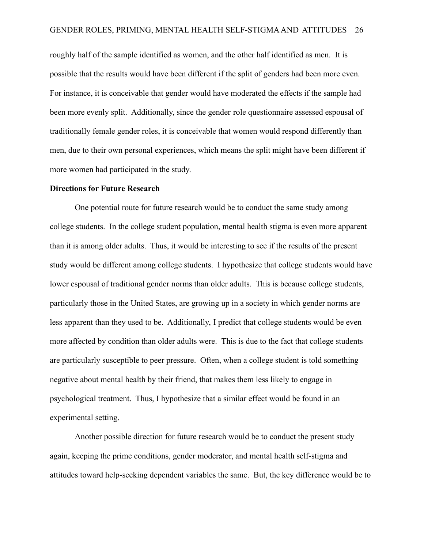roughly half of the sample identified as women, and the other half identified as men. It is possible that the results would have been different if the split of genders had been more even. For instance, it is conceivable that gender would have moderated the effects if the sample had been more evenly split. Additionally, since the gender role questionnaire assessed espousal of traditionally female gender roles, it is conceivable that women would respond differently than men, due to their own personal experiences, which means the split might have been different if more women had participated in the study.

#### **Directions for Future Research**

One potential route for future research would be to conduct the same study among college students. In the college student population, mental health stigma is even more apparent than it is among older adults. Thus, it would be interesting to see if the results of the present study would be different among college students. I hypothesize that college students would have lower espousal of traditional gender norms than older adults. This is because college students, particularly those in the United States, are growing up in a society in which gender norms are less apparent than they used to be. Additionally, I predict that college students would be even more affected by condition than older adults were. This is due to the fact that college students are particularly susceptible to peer pressure. Often, when a college student is told something negative about mental health by their friend, that makes them less likely to engage in psychological treatment. Thus, I hypothesize that a similar effect would be found in an experimental setting.

Another possible direction for future research would be to conduct the present study again, keeping the prime conditions, gender moderator, and mental health self-stigma and attitudes toward help-seeking dependent variables the same. But, the key difference would be to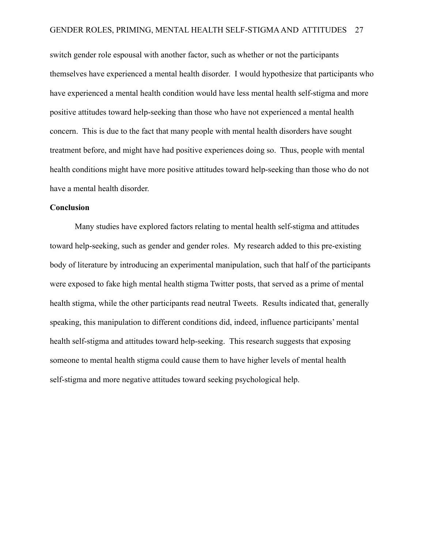switch gender role espousal with another factor, such as whether or not the participants themselves have experienced a mental health disorder. I would hypothesize that participants who have experienced a mental health condition would have less mental health self-stigma and more positive attitudes toward help-seeking than those who have not experienced a mental health concern. This is due to the fact that many people with mental health disorders have sought treatment before, and might have had positive experiences doing so. Thus, people with mental health conditions might have more positive attitudes toward help-seeking than those who do not have a mental health disorder.

#### **Conclusion**

Many studies have explored factors relating to mental health self-stigma and attitudes toward help-seeking, such as gender and gender roles. My research added to this pre-existing body of literature by introducing an experimental manipulation, such that half of the participants were exposed to fake high mental health stigma Twitter posts, that served as a prime of mental health stigma, while the other participants read neutral Tweets. Results indicated that, generally speaking, this manipulation to different conditions did, indeed, influence participants' mental health self-stigma and attitudes toward help-seeking. This research suggests that exposing someone to mental health stigma could cause them to have higher levels of mental health self-stigma and more negative attitudes toward seeking psychological help.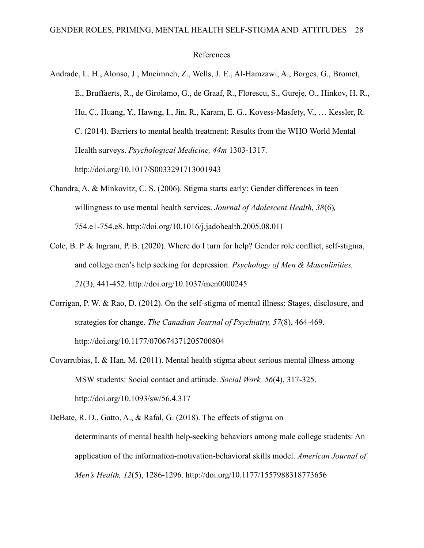#### References

- Andrade, L. H., Alonso, J., Mneimneh, Z., Wells, J. E., Al-Hamzawi, A., Borges, G., Bromet, E., Bruffaerts, R., de Girolamo, G., de Graaf, R., Florescu, S., Gureje, O., Hinkov, H. R., Hu, C., Huang, Y., Hawng, I., Jin, R., Karam, E. G., Kovess-Masfety, V., … Kessler, R. C. (2014). Barriers to mental health treatment: Results from the WHO World Mental Health surveys. *Psychological Medicine, 44m* 1303-1317. http://doi.org/10.1017/S0033291713001943
- Chandra, A. & Minkovitz, C. S. (2006). Stigma starts early: Gender differences in teen willingness to use mental health services. *Journal of Adolescent Health, 38*(6)*,* 754.e1-754.e8. [http://doi.org/10.1016/j.jadohealth.2005.08.011](https://doi.org/10.1016/j.jadohealth.2005.08.011)
- Cole, B. P. & Ingram, P. B. (2020). Where do I turn for help? Gender role conflict, self-stigma, and college men's help seeking for depression. *Psychology of Men & Masculinities, 21*(3), 441-452. http://doi.org/10.1037/men0000245
- Corrigan, P. W. & Rao, D. (2012). On the self-stigma of mental illness: Stages, disclosure, and strategies for change. *The Canadian Journal of Psychiatry, 57*(8), 464-469. http://doi.org/10.1177/070674371205700804
- Covarrubias, I. & Han, M. (2011). Mental health stigma about serious mental illness among MSW students: Social contact and attitude. *Social Work, 56*(4), 317-325. [http://doi.org/10.1093/sw/56.4](https://doi.org/10.1093/sw/56.4).317

DeBate, R. D., Gatto, A., & Rafal, G. (2018). The effects of stigma on determinants of mental health help-seeking behaviors among male college students: An application of the information-motivation-behavioral skills model. *American Journal of Men's Health, 12*(5), 1286-1296. http://doi.org/10.1177/1557988318773656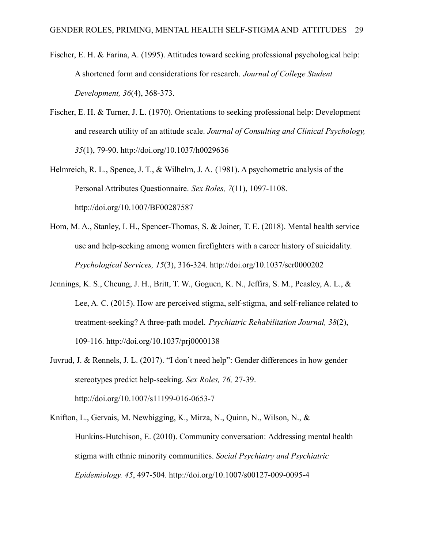- Fischer, E. H. & Farina, A. (1995). Attitudes toward seeking professional psychological help: A shortened form and considerations for research. *Journal of College Student Development, 36*(4), 368-373.
- Fischer, E. H. & Turner, J. L. (1970). Orientations to seeking professional help: Development and research utility of an attitude scale. *Journal of Consulting and Clinical Psychology, 35*(1), 79-90. http://doi.org/10.1037/h0029636
- Helmreich, R. L., Spence, J. T., & Wilhelm, J. A. (1981). A psychometric analysis of the Personal Attributes Questionnaire. *Sex Roles, 7*(11), 1097-1108. http://doi.org/10.1007/BF00287587
- Hom, M. A., Stanley, I. H., Spencer-Thomas, S. & Joiner, T. E. (2018). Mental health service use and help-seeking among women firefighters with a career history of suicidality. *Psychological Services, 15*(3), 316-324. http://doi.org/10.1037/ser0000202
- Jennings, K. S., Cheung, J. H., Britt, T. W., Goguen, K. N., Jeffirs, S. M., Peasley, A. L., & Lee, A. C. (2015). How are perceived stigma, self-stigma, and self-reliance related to treatment-seeking? A three-path model. *Psychiatric Rehabilitation Journal, 38*(2), 109-116. http://doi.org/10.1037/prj0000138
- Juvrud, J. & Rennels, J. L. (2017). "I don't need help": Gender differences in how gender stereotypes predict help-seeking. *Sex Roles, 76,* 27-39. http://doi.org/10.1007/s11199-016-0653-7
- Knifton, L., Gervais, M. Newbigging, K., Mirza, N., Quinn, N., Wilson, N., & Hunkins-Hutchison, E. (2010). Community conversation: Addressing mental health stigma with ethnic minority communities. *Social Psychiatry and Psychiatric Epidemiology. 45*, 497-504. <http://doi.org/10.1007/s00127-009-0095-4>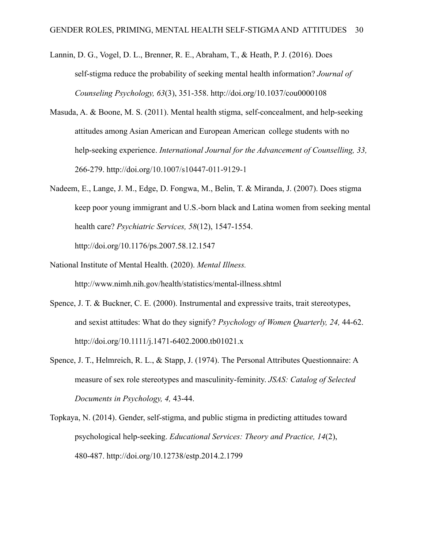- Lannin, D. G., Vogel, D. L., Brenner, R. E., Abraham, T., & Heath, P. J. (2016). Does self-stigma reduce the probability of seeking mental health information? *Journal of Counseling Psychology, 63*(3), 351-358. http://doi.org/10.1037/cou0000108
- Masuda, A. & Boone, M. S. (2011). Mental health stigma, self-concealment, and help-seeking attitudes among Asian American and European American college students with no help-seeking experience. *International Journal for the Advancement of Counselling, 33,* 266-279. http://doi.org/10.1007/s10447-011-9129-1
- Nadeem, E., Lange, J. M., Edge, D. Fongwa, M., Belin, T. & Miranda, J. (2007). Does stigma keep poor young immigrant and U.S.-born black and Latina women from seeking mental health care? *Psychiatric Services, 58*(12), 1547-1554. http://doi.org/10.1176/ps.2007.58.12.1547
- National Institute of Mental Health. (2020). *Mental Illness.* http://www.nimh.nih.gov/health/statistics/mental-illness.shtml
- Spence, J. T. & Buckner, C. E. (2000). Instrumental and expressive traits, trait stereotypes, and sexist attitudes: What do they signify? *Psychology of Women Quarterly, 24,* 44-62. http://doi.org/10.1111/j.1471-6402.2000.tb01021.x
- Spence, J. T., Helmreich, R. L., & Stapp, J. (1974). The Personal Attributes Questionnaire: A measure of sex role stereotypes and masculinity-feminity. *JSAS: Catalog of Selected Documents in Psychology, 4,* 43-44.
- Topkaya, N. (2014). Gender, self-stigma, and public stigma in predicting attitudes toward psychological help-seeking. *Educational Services: Theory and Practice, 14*(2), 480-487. http://doi.org/10.12738/estp.2014.2.1799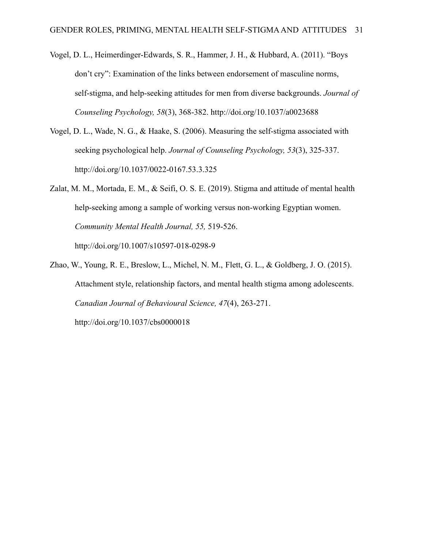- Vogel, D. L., Heimerdinger-Edwards, S. R., Hammer, J. H., & Hubbard, A. (2011). "Boys don't cry": Examination of the links between endorsement of masculine norms, self-stigma, and help-seeking attitudes for men from diverse backgrounds. *Journal of Counseling Psychology, 58*(3), 368-382. http://doi.org/10.1037/a0023688
- Vogel, D. L., Wade, N. G., & Haake, S. (2006). Measuring the self-stigma associated with seeking psychological help. *Journal of Counseling Psychology, 53*(3), 325-337. http://doi.org/10.1037/0022-0167.53.3.325
- Zalat, M. M., Mortada, E. M., & Seifi, O. S. E. (2019). Stigma and attitude of mental health help-seeking among a sample of working versus non-working Egyptian women. *Community Mental Health Journal, 55,* 519-526. http://doi.org/10.1007/s10597-018-0298-9
- Zhao, W., Young, R. E., Breslow, L., Michel, N. M., Flett, G. L., & Goldberg, J. O. (2015). Attachment style, relationship factors, and mental health stigma among adolescents. *Canadian Journal of Behavioural Science, 47*(4), 263-271. http://doi.org/10.1037/cbs0000018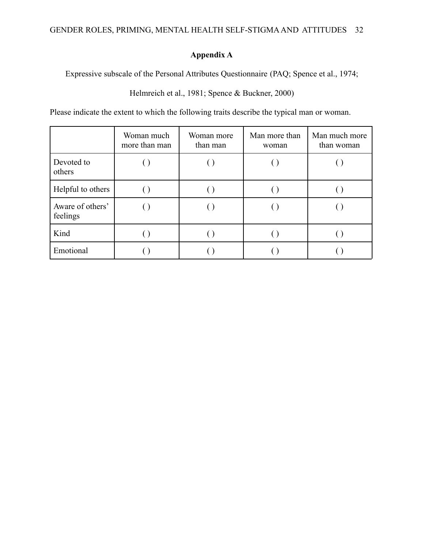# **Appendix A**

Expressive subscale of the Personal Attributes Questionnaire (PAQ; Spence et al., 1974;

Helmreich et al., 1981; Spence & Buckner, 2000)

Please indicate the extent to which the following traits describe the typical man or woman.

|                              | Woman much<br>more than man | Woman more<br>than man | Man more than<br>woman | Man much more<br>than woman |
|------------------------------|-----------------------------|------------------------|------------------------|-----------------------------|
| Devoted to<br>others         |                             |                        |                        |                             |
| Helpful to others            |                             |                        |                        |                             |
| Aware of others'<br>feelings |                             |                        |                        |                             |
| Kind                         |                             |                        |                        |                             |
| Emotional                    |                             |                        |                        |                             |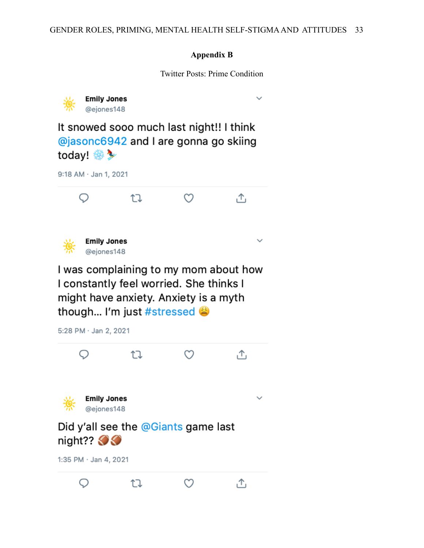## **Appendix B**

Twitter Posts: Prime Condition

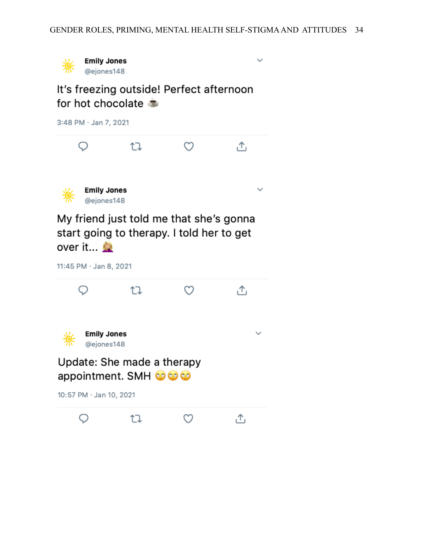

It's freezing outside! Perfect afternoon for hot chocolate

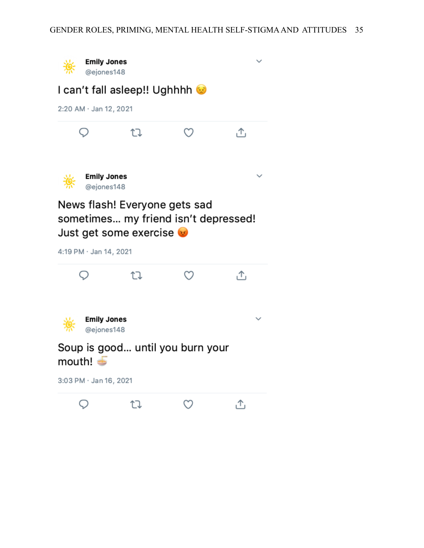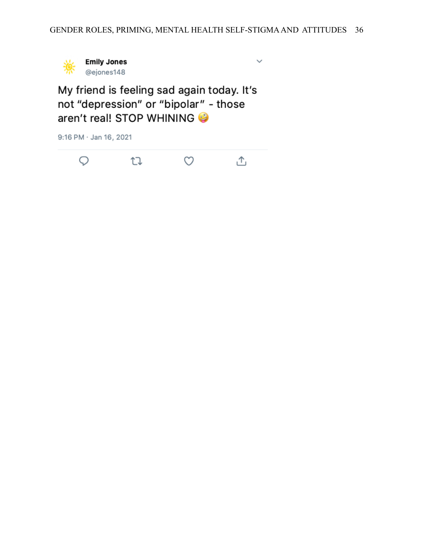

 $\checkmark$ 

My friend is feeling sad again today. It's not "depression" or "bipolar" - those aren't real! STOP WHINING

9:16 PM · Jan 16, 2021

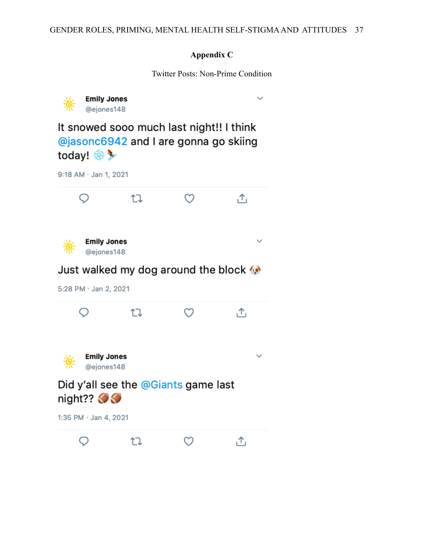# **Appendix C**

Twitter Posts: Non-Prime Condition

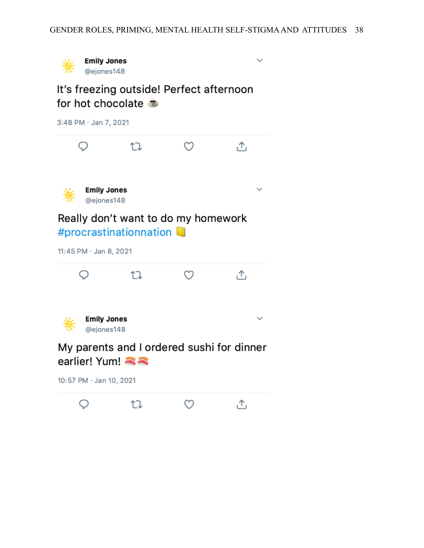$\checkmark$ 



# It's freezing outside! Perfect afternoon for hot chocolate

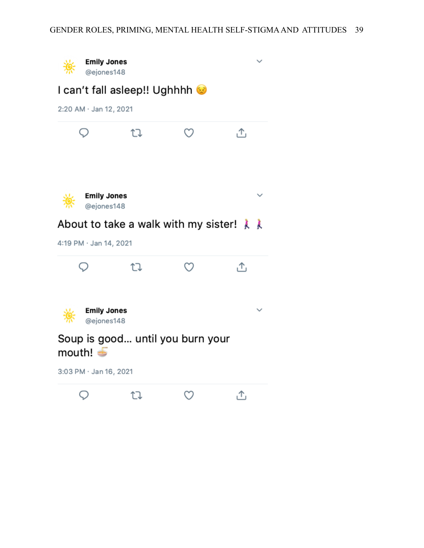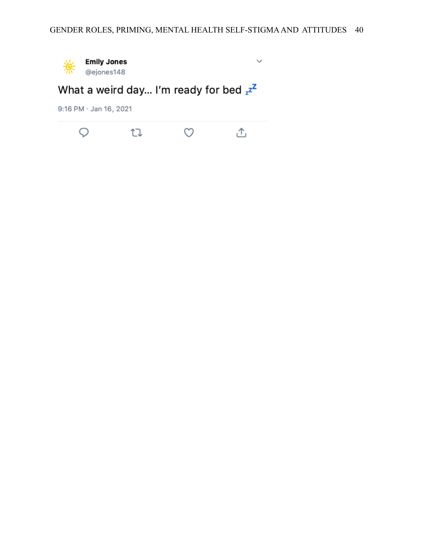$\checkmark$ 



What a weird day... I'm ready for bed  $z^{z^2}$ 

9:16 PM · Jan 16, 2021

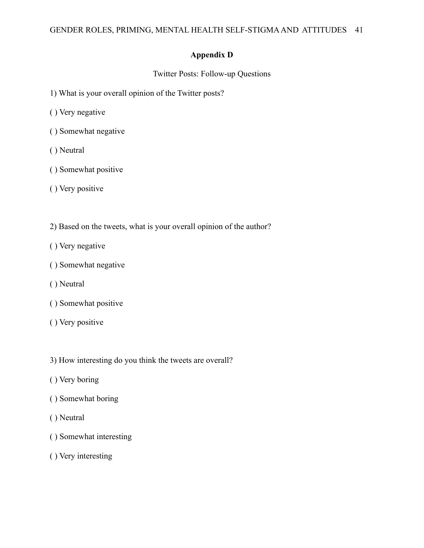## **Appendix D**

Twitter Posts: Follow-up Questions

- 1) What is your overall opinion of the Twitter posts?
- ( ) Very negative
- ( ) Somewhat negative
- ( ) Neutral
- ( ) Somewhat positive
- ( ) Very positive
- 2) Based on the tweets, what is your overall opinion of the author?
- ( ) Very negative
- ( ) Somewhat negative
- ( ) Neutral
- ( ) Somewhat positive
- ( ) Very positive
- 3) How interesting do you think the tweets are overall?
- ( ) Very boring
- ( ) Somewhat boring
- ( ) Neutral
- ( ) Somewhat interesting
- ( ) Very interesting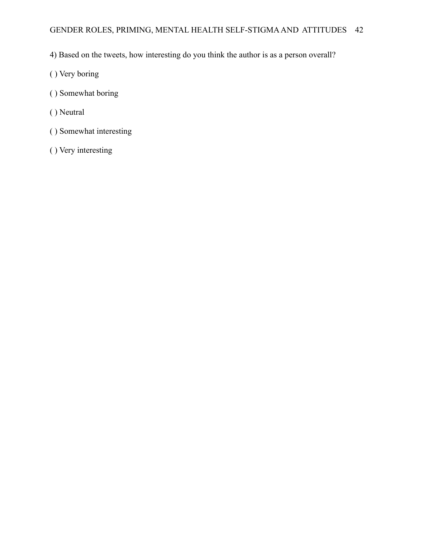- 4) Based on the tweets, how interesting do you think the author is as a person overall?
- ( ) Very boring
- ( ) Somewhat boring
- ( ) Neutral
- ( ) Somewhat interesting
- ( ) Very interesting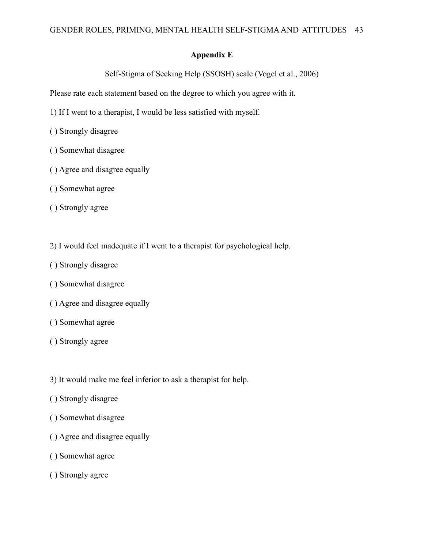## **Appendix E**

Self-Stigma of Seeking Help (SSOSH) scale (Vogel et al., 2006)

Please rate each statement based on the degree to which you agree with it.

- 1) If I went to a therapist, I would be less satisfied with myself.
- ( ) Strongly disagree
- ( ) Somewhat disagree
- ( ) Agree and disagree equally
- ( ) Somewhat agree
- ( ) Strongly agree
- 2) I would feel inadequate if I went to a therapist for psychological help.
- ( ) Strongly disagree
- ( ) Somewhat disagree
- ( ) Agree and disagree equally
- ( ) Somewhat agree
- ( ) Strongly agree
- 3) It would make me feel inferior to ask a therapist for help.
- ( ) Strongly disagree
- ( ) Somewhat disagree
- ( ) Agree and disagree equally
- ( ) Somewhat agree
- ( ) Strongly agree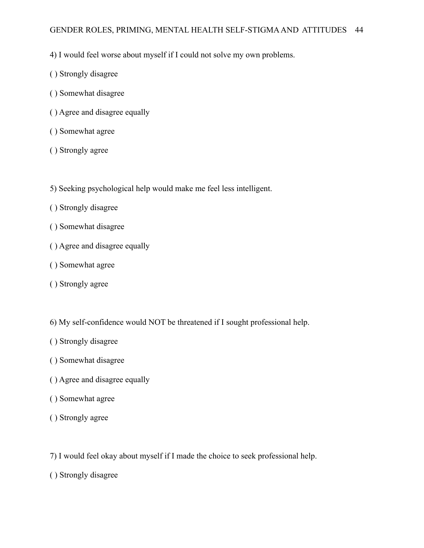## GENDER ROLES, PRIMING, MENTAL HEALTH SELF-STIGMAAND ATTITUDES 44

- 4) I would feel worse about myself if I could not solve my own problems.
- ( ) Strongly disagree
- ( ) Somewhat disagree
- ( ) Agree and disagree equally
- ( ) Somewhat agree
- ( ) Strongly agree
- 5) Seeking psychological help would make me feel less intelligent.
- ( ) Strongly disagree
- ( ) Somewhat disagree
- ( ) Agree and disagree equally
- ( ) Somewhat agree
- ( ) Strongly agree
- 6) My self-confidence would NOT be threatened if I sought professional help.
- ( ) Strongly disagree
- ( ) Somewhat disagree
- ( ) Agree and disagree equally
- ( ) Somewhat agree
- ( ) Strongly agree
- 7) I would feel okay about myself if I made the choice to seek professional help.
- ( ) Strongly disagree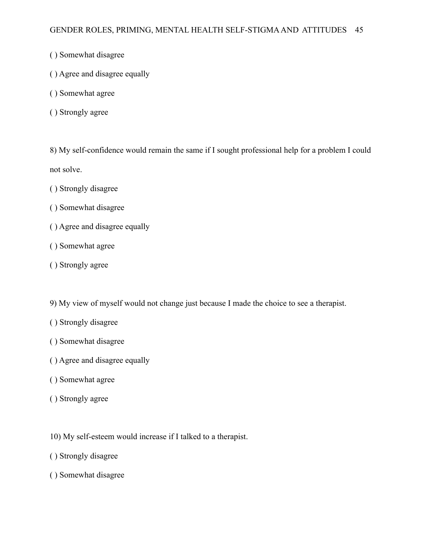- ( ) Somewhat disagree
- ( ) Agree and disagree equally
- ( ) Somewhat agree
- ( ) Strongly agree

8) My self-confidence would remain the same if I sought professional help for a problem I could not solve.

- ( ) Strongly disagree
- ( ) Somewhat disagree
- ( ) Agree and disagree equally
- ( ) Somewhat agree
- ( ) Strongly agree

9) My view of myself would not change just because I made the choice to see a therapist.

- ( ) Strongly disagree
- ( ) Somewhat disagree
- ( ) Agree and disagree equally
- ( ) Somewhat agree
- ( ) Strongly agree
- 10) My self-esteem would increase if I talked to a therapist.
- ( ) Strongly disagree
- ( ) Somewhat disagree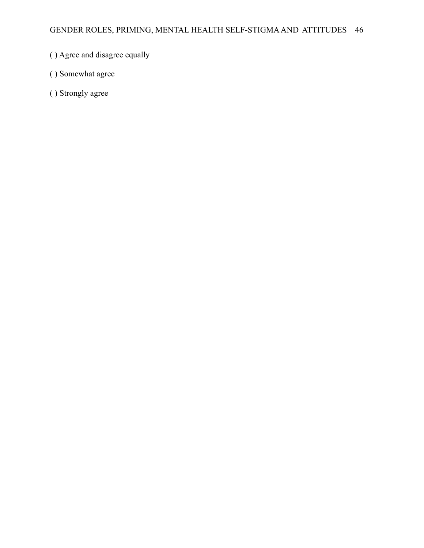- ( ) Agree and disagree equally
- ( ) Somewhat agree
- ( ) Strongly agree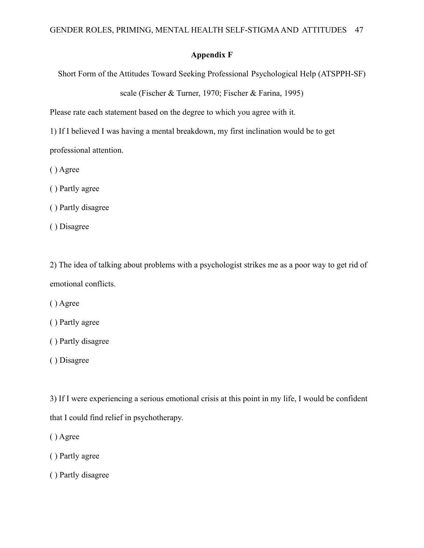## **Appendix F**

Short Form of the Attitudes Toward Seeking Professional Psychological Help (ATSPPH-SF)

scale (Fischer & Turner, 1970; Fischer & Farina, 1995)

Please rate each statement based on the degree to which you agree with it.

1) If I believed I was having a mental breakdown, my first inclination would be to get professional attention.

( ) Agree

( ) Partly agree

( ) Partly disagree

( ) Disagree

2) The idea of talking about problems with a psychologist strikes me as a poor way to get rid of emotional conflicts.

( ) Agree

( ) Partly agree

( ) Partly disagree

( ) Disagree

3) If I were experiencing a serious emotional crisis at this point in my life, I would be confident that I could find relief in psychotherapy.

( ) Agree

( ) Partly agree

( ) Partly disagree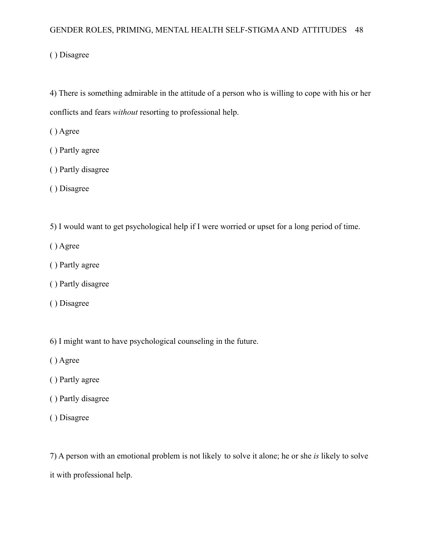## GENDER ROLES, PRIMING, MENTAL HEALTH SELF-STIGMAAND ATTITUDES 48

( ) Disagree

4) There is something admirable in the attitude of a person who is willing to cope with his or her conflicts and fears *without* resorting to professional help.

( ) Agree

- ( ) Partly agree
- ( ) Partly disagree
- ( ) Disagree
- 5) I would want to get psychological help if I were worried or upset for a long period of time.
- ( ) Agree
- ( ) Partly agree
- ( ) Partly disagree
- ( ) Disagree
- 6) I might want to have psychological counseling in the future.
- ( ) Agree
- ( ) Partly agree
- ( ) Partly disagree
- ( ) Disagree

7) A person with an emotional problem is not likely to solve it alone; he or she *is* likely to solve it with professional help.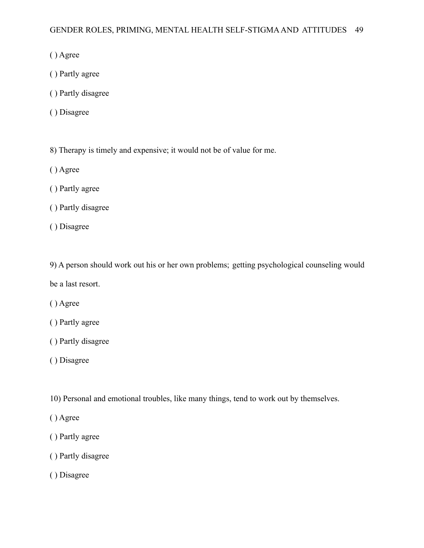- ( ) Agree
- ( ) Partly agree
- ( ) Partly disagree
- ( ) Disagree
- 8) Therapy is timely and expensive; it would not be of value for me.
- ( ) Agree
- ( ) Partly agree
- ( ) Partly disagree
- ( ) Disagree

9) A person should work out his or her own problems; getting psychological counseling would be a last resort.

- ( ) Agree
- ( ) Partly agree
- ( ) Partly disagree
- ( ) Disagree
- 10) Personal and emotional troubles, like many things, tend to work out by themselves.
- ( ) Agree
- ( ) Partly agree
- ( ) Partly disagree
- ( ) Disagree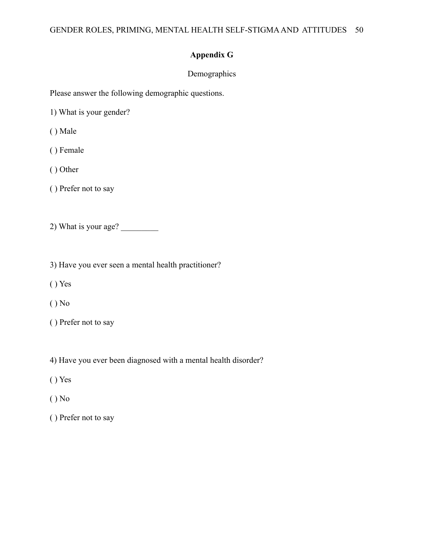# **Appendix G**

# Demographics

Please answer the following demographic questions.

1) What is your gender?

( ) Male

( ) Female

( ) Other

( ) Prefer not to say

2) What is your age?

3) Have you ever seen a mental health practitioner?

( ) Yes

( ) No

( ) Prefer not to say

4) Have you ever been diagnosed with a mental health disorder?

( ) Yes

( ) No

( ) Prefer not to say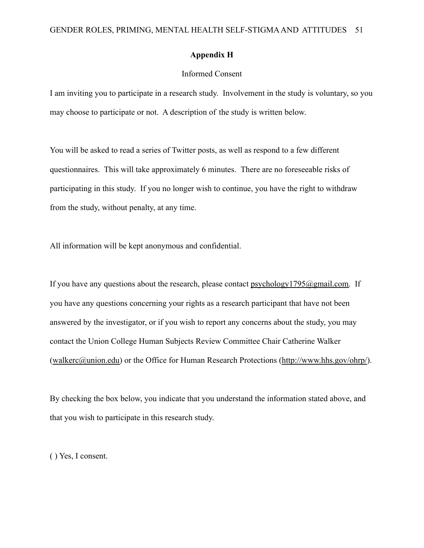#### **Appendix H**

## Informed Consent

I am inviting you to participate in a research study. Involvement in the study is voluntary, so you may choose to participate or not. A description of the study is written below.

You will be asked to read a series of Twitter posts, as well as respond to a few different questionnaires. This will take approximately 6 minutes. There are no foreseeable risks of participating in this study. If you no longer wish to continue, you have the right to withdraw from the study, without penalty, at any time.

All information will be kept anonymous and confidential.

If you have any questions about the research, please contact  $psychology1795@gmail.com$ . If you have any questions concerning your rights as a research participant that have not been answered by the investigator, or if you wish to report any concerns about the study, you may contact the Union College Human Subjects Review Committee Chair Catherine Walker (walkerc@union.edu) or the Office for Human Research Protections (http://www.hhs.gov/ohrp/).

By checking the box below, you indicate that you understand the information stated above, and that you wish to participate in this research study.

( ) Yes, I consent.